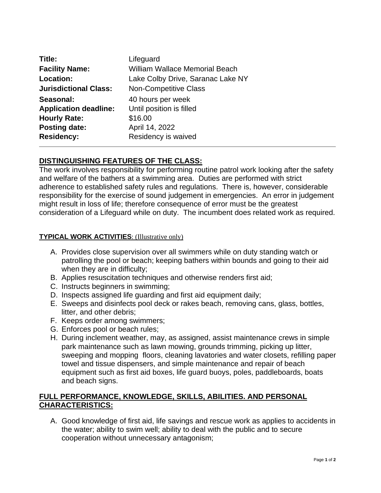| Title:                       | Lifeguard                             |
|------------------------------|---------------------------------------|
| <b>Facility Name:</b>        | <b>William Wallace Memorial Beach</b> |
| Location:                    | Lake Colby Drive, Saranac Lake NY     |
| <b>Jurisdictional Class:</b> | <b>Non-Competitive Class</b>          |
| Seasonal:                    | 40 hours per week                     |
| <b>Application deadline:</b> | Until position is filled              |
| <b>Hourly Rate:</b>          | \$16.00                               |
| <b>Posting date:</b>         | April 14, 2022                        |
| <b>Residency:</b>            | Residency is waived                   |

# **DISTINGUISHING FEATURES OF THE CLASS:**

The work involves responsibility for performing routine patrol work looking after the safety and welfare of the bathers at a swimming area. Duties are performed with strict adherence to established safety rules and regulations. There is, however, considerable responsibility for the exercise of sound judgement in emergencies. An error in judgement might result in loss of life; therefore consequence of error must be the greatest consideration of a Lifeguard while on duty. The incumbent does related work as required.

#### **TYPICAL WORK ACTIVITIES**: (Illustrative only)

- A. Provides close supervision over all swimmers while on duty standing watch or patrolling the pool or beach; keeping bathers within bounds and going to their aid when they are in difficulty;
- B. Applies resuscitation techniques and otherwise renders first aid;
- C. Instructs beginners in swimming;
- D. Inspects assigned life guarding and first aid equipment daily;
- E. Sweeps and disinfects pool deck or rakes beach, removing cans, glass, bottles, litter, and other debris;
- F. Keeps order among swimmers;
- G. Enforces pool or beach rules;
- H. During inclement weather, may, as assigned, assist maintenance crews in simple park maintenance such as lawn mowing, grounds trimming, picking up litter, sweeping and mopping floors, cleaning lavatories and water closets, refilling paper towel and tissue dispensers, and simple maintenance and repair of beach equipment such as first aid boxes, life guard buoys, poles, paddleboards, boats and beach signs.

# **FULL PERFORMANCE, KNOWLEDGE, SKILLS, ABILITIES. AND PERSONAL CHARACTERISTICS:**

A. Good knowledge of first aid, life savings and rescue work as applies to accidents in the water; ability to swim well; ability to deal with the public and to secure cooperation without unnecessary antagonism;